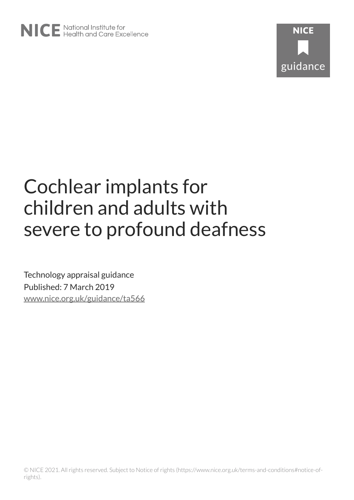

# Cochlear implants for children and adults with severe to profound deafness

Technology appraisal guidance Published: 7 March 2019 [www.nice.org.uk/guidance/ta566](https://www.nice.org.uk/guidance/ta566)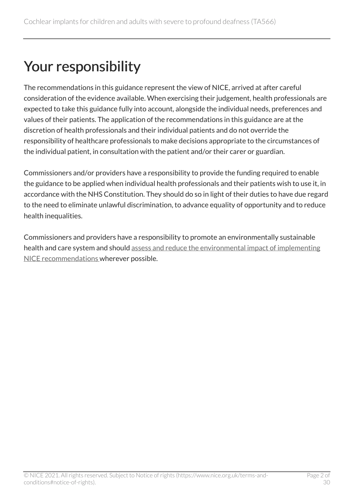# Your responsibility

The recommendations in this guidance represent the view of NICE, arrived at after careful consideration of the evidence available. When exercising their judgement, health professionals are expected to take this guidance fully into account, alongside the individual needs, preferences and values of their patients. The application of the recommendations in this guidance are at the discretion of health professionals and their individual patients and do not override the responsibility of healthcare professionals to make decisions appropriate to the circumstances of the individual patient, in consultation with the patient and/or their carer or guardian.

Commissioners and/or providers have a responsibility to provide the funding required to enable the guidance to be applied when individual health professionals and their patients wish to use it, in accordance with the NHS Constitution. They should do so in light of their duties to have due regard to the need to eliminate unlawful discrimination, to advance equality of opportunity and to reduce health inequalities.

Commissioners and providers have a responsibility to promote an environmentally sustainable health and care system and should [assess and reduce the environmental impact of implementing](https://www.nice.org.uk/about/who-we-are/sustainability)  [NICE recommendations w](https://www.nice.org.uk/about/who-we-are/sustainability)herever possible.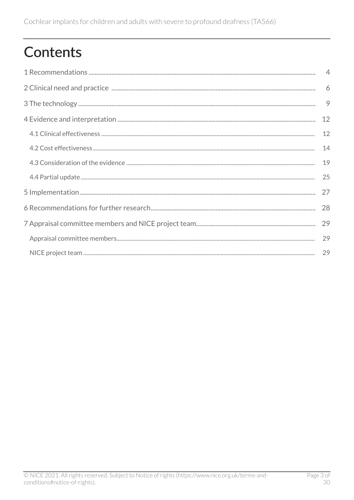# **Contents**

| 9  |
|----|
| 12 |
| 12 |
| 14 |
| 19 |
| 25 |
| 27 |
| 28 |
|    |
| 29 |
|    |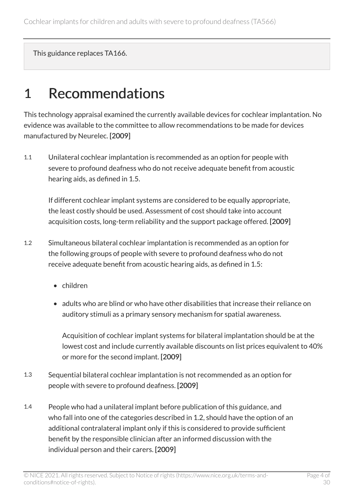This guidance replaces TA166.

## <span id="page-3-0"></span>1 Recommendations

This technology appraisal examined the currently available devices for cochlear implantation. No evidence was available to the committee to allow recommendations to be made for devices manufactured by Neurelec. [2009]

1.1 Unilateral cochlear implantation is recommended as an option for people with severe to profound deafness who do not receive adequate benefit from acoustic hearing aids, as defined in 1.5.

If different cochlear implant systems are considered to be equally appropriate, the least costly should be used. Assessment of cost should take into account acquisition costs, long-term reliability and the support package offered. [2009]

- 1.2 Simultaneous bilateral cochlear implantation is recommended as an option for the following groups of people with severe to profound deafness who do not receive adequate benefit from acoustic hearing aids, as defined in 1.5:
	- children
	- adults who are blind or who have other disabilities that increase their reliance on auditory stimuli as a primary sensory mechanism for spatial awareness.

Acquisition of cochlear implant systems for bilateral implantation should be at the lowest cost and include currently available discounts on list prices equivalent to 40% or more for the second implant. [2009]

- 1.3 Sequential bilateral cochlear implantation is not recommended as an option for people with severe to profound deafness. [2009]
- 1.4 People who had a unilateral implant before publication of this guidance, and who fall into one of the categories described in 1.2, should have the option of an additional contralateral implant only if this is considered to provide sufficient benefit by the responsible clinician after an informed discussion with the individual person and their carers. [2009]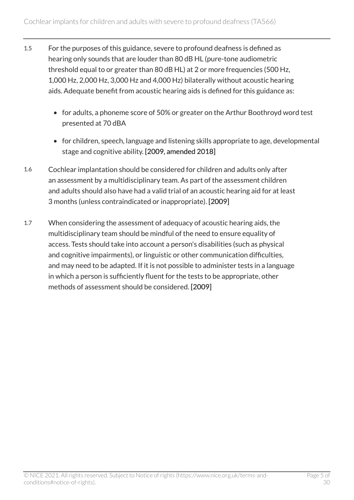- 1.5 For the purposes of this guidance, severe to profound deafness is defined as hearing only sounds that are louder than 80 dB HL (pure-tone audiometric threshold equal to or greater than 80 dB HL) at 2 or more frequencies (500 Hz, 1,000 Hz, 2,000 Hz, 3,000 Hz and 4,000 Hz) bilaterally without acoustic hearing aids. Adequate benefit from acoustic hearing aids is defined for this guidance as:
	- for adults, a phoneme score of 50% or greater on the Arthur Boothroyd word test presented at 70 dBA
	- for children, speech, language and listening skills appropriate to age, developmental stage and cognitive ability. [2009, amended 2018]
- 1.6 Cochlear implantation should be considered for children and adults only after an assessment by a multidisciplinary team. As part of the assessment children and adults should also have had a valid trial of an acoustic hearing aid for at least 3 months (unless contraindicated or inappropriate). [2009]
- 1.7 When considering the assessment of adequacy of acoustic hearing aids, the multidisciplinary team should be mindful of the need to ensure equality of access. Tests should take into account a person's disabilities (such as physical and cognitive impairments), or linguistic or other communication difficulties, and may need to be adapted. If it is not possible to administer tests in a language in which a person is sufficiently fluent for the tests to be appropriate, other methods of assessment should be considered. [2009]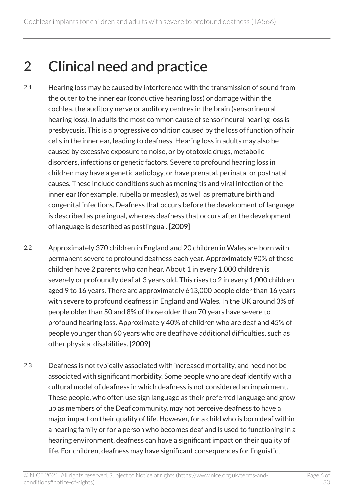# <span id="page-5-0"></span>2 Clinical need and practice

- 2.1 Hearing loss may be caused by interference with the transmission of sound from the outer to the inner ear (conductive hearing loss) or damage within the cochlea, the auditory nerve or auditory centres in the brain (sensorineural hearing loss). In adults the most common cause of sensorineural hearing loss is presbycusis. This is a progressive condition caused by the loss of function of hair cells in the inner ear, leading to deafness. Hearing loss in adults may also be caused by excessive exposure to noise, or by ototoxic drugs, metabolic disorders, infections or genetic factors. Severe to profound hearing loss in children may have a genetic aetiology, or have prenatal, perinatal or postnatal causes. These include conditions such as meningitis and viral infection of the inner ear (for example, rubella or measles), as well as premature birth and congenital infections. Deafness that occurs before the development of language is described as prelingual, whereas deafness that occurs after the development of language is described as postlingual. [2009]
- 2.2 Approximately 370 children in England and 20 children in Wales are born with permanent severe to profound deafness each year. Approximately 90% of these children have 2 parents who can hear. About 1 in every 1,000 children is severely or profoundly deaf at 3 years old. This rises to 2 in every 1,000 children aged 9 to 16 years. There are approximately 613,000 people older than 16 years with severe to profound deafness in England and Wales. In the UK around 3% of people older than 50 and 8% of those older than 70 years have severe to profound hearing loss. Approximately 40% of children who are deaf and 45% of people younger than 60 years who are deaf have additional difficulties, such as other physical disabilities. [2009]
- 2.3 Deafness is not typically associated with increased mortality, and need not be associated with significant morbidity. Some people who are deaf identify with a cultural model of deafness in which deafness is not considered an impairment. These people, who often use sign language as their preferred language and grow up as members of the Deaf community, may not perceive deafness to have a major impact on their quality of life. However, for a child who is born deaf within a hearing family or for a person who becomes deaf and is used to functioning in a hearing environment, deafness can have a significant impact on their quality of life. For children, deafness may have significant consequences for linguistic,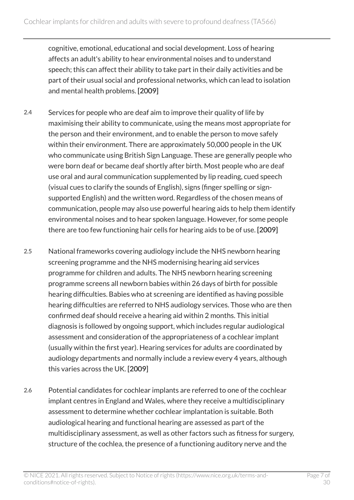cognitive, emotional, educational and social development. Loss of hearing affects an adult's ability to hear environmental noises and to understand speech; this can affect their ability to take part in their daily activities and be part of their usual social and professional networks, which can lead to isolation and mental health problems. [2009]

- 2.4 Services for people who are deaf aim to improve their quality of life by maximising their ability to communicate, using the means most appropriate for the person and their environment, and to enable the person to move safely within their environment. There are approximately 50,000 people in the UK who communicate using British Sign Language. These are generally people who were born deaf or became deaf shortly after birth. Most people who are deaf use oral and aural communication supplemented by lip reading, cued speech (visual cues to clarify the sounds of English), signs (finger spelling or signsupported English) and the written word. Regardless of the chosen means of communication, people may also use powerful hearing aids to help them identify environmental noises and to hear spoken language. However, for some people there are too few functioning hair cells for hearing aids to be of use. [2009]
- 2.5 National frameworks covering audiology include the NHS newborn hearing screening programme and the NHS modernising hearing aid services programme for children and adults. The NHS newborn hearing screening programme screens all newborn babies within 26 days of birth for possible hearing difficulties. Babies who at screening are identified as having possible hearing difficulties are referred to NHS audiology services. Those who are then confirmed deaf should receive a hearing aid within 2 months. This initial diagnosis is followed by ongoing support, which includes regular audiological assessment and consideration of the appropriateness of a cochlear implant (usually within the first year). Hearing services for adults are coordinated by audiology departments and normally include a review every 4 years, although this varies across the UK. [2009]
- 2.6 Potential candidates for cochlear implants are referred to one of the cochlear implant centres in England and Wales, where they receive a multidisciplinary assessment to determine whether cochlear implantation is suitable. Both audiological hearing and functional hearing are assessed as part of the multidisciplinary assessment, as well as other factors such as fitness for surgery, structure of the cochlea, the presence of a functioning auditory nerve and the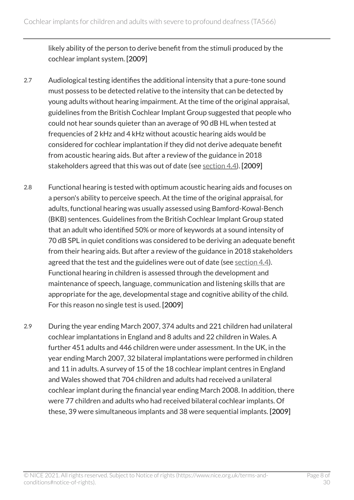likely ability of the person to derive benefit from the stimuli produced by the cochlear implant system. [2009]

- 2.7 Audiological testing identifies the additional intensity that a pure-tone sound must possess to be detected relative to the intensity that can be detected by young adults without hearing impairment. At the time of the original appraisal, guidelines from the British Cochlear Implant Group suggested that people who could not hear sounds quieter than an average of 90 dB HL when tested at frequencies of 2 kHz and 4 kHz without acoustic hearing aids would be considered for cochlear implantation if they did not derive adequate benefit from acoustic hearing aids. But after a review of the guidance in 2018 stakeholders agreed that this was out of date (see [section](#page-24-0) 4.4). [2009]
- 2.8 Functional hearing is tested with optimum acoustic hearing aids and focuses on a person's ability to perceive speech. At the time of the original appraisal, for adults, functional hearing was usually assessed using Bamford-Kowal-Bench (BKB) sentences. Guidelines from the British Cochlear Implant Group stated that an adult who identified 50% or more of keywords at a sound intensity of 70 dB SPL in quiet conditions was considered to be deriving an adequate benefit from their hearing aids. But after a review of the guidance in 2018 stakeholders agreed that the test and the guidelines were out of date (see [section](#page-24-0) 4.4). Functional hearing in children is assessed through the development and maintenance of speech, language, communication and listening skills that are appropriate for the age, developmental stage and cognitive ability of the child. For this reason no single test is used. [2009]
- 2.9 During the year ending March 2007, 374 adults and 221 children had unilateral cochlear implantations in England and 8 adults and 22 children in Wales. A further 451 adults and 446 children were under assessment. In the UK, in the year ending March 2007, 32 bilateral implantations were performed in children and 11 in adults. A survey of 15 of the 18 cochlear implant centres in England and Wales showed that 704 children and adults had received a unilateral cochlear implant during the financial year ending March 2008. In addition, there were 77 children and adults who had received bilateral cochlear implants. Of these, 39 were simultaneous implants and 38 were sequential implants. [2009]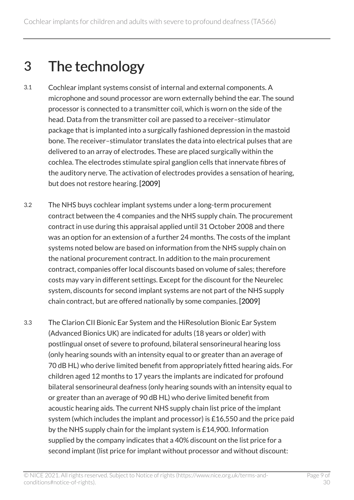# <span id="page-8-0"></span>3 The technology

- 3.1 Cochlear implant systems consist of internal and external components. A microphone and sound processor are worn externally behind the ear. The sound processor is connected to a transmitter coil, which is worn on the side of the head. Data from the transmitter coil are passed to a receiver–stimulator package that is implanted into a surgically fashioned depression in the mastoid bone. The receiver–stimulator translates the data into electrical pulses that are delivered to an array of electrodes. These are placed surgically within the cochlea. The electrodes stimulate spiral ganglion cells that innervate fibres of the auditory nerve. The activation of electrodes provides a sensation of hearing, but does not restore hearing. [2009]
- 3.2 The NHS buys cochlear implant systems under a long-term procurement contract between the 4 companies and the NHS supply chain. The procurement contract in use during this appraisal applied until 31 October 2008 and there was an option for an extension of a further 24 months. The costs of the implant systems noted below are based on information from the NHS supply chain on the national procurement contract. In addition to the main procurement contract, companies offer local discounts based on volume of sales; therefore costs may vary in different settings. Except for the discount for the Neurelec system, discounts for second implant systems are not part of the NHS supply chain contract, but are offered nationally by some companies. [2009]
- 3.3 The Clarion CII Bionic Ear System and the HiResolution Bionic Ear System (Advanced Bionics UK) are indicated for adults (18 years or older) with postlingual onset of severe to profound, bilateral sensorineural hearing loss (only hearing sounds with an intensity equal to or greater than an average of 70 dB HL) who derive limited benefit from appropriately fitted hearing aids. For children aged 12 months to 17 years the implants are indicated for profound bilateral sensorineural deafness (only hearing sounds with an intensity equal to or greater than an average of 90 dB HL) who derive limited benefit from acoustic hearing aids. The current NHS supply chain list price of the implant system (which includes the implant and processor) is £16,550 and the price paid by the NHS supply chain for the implant system is £14,900. Information supplied by the company indicates that a 40% discount on the list price for a second implant (list price for implant without processor and without discount: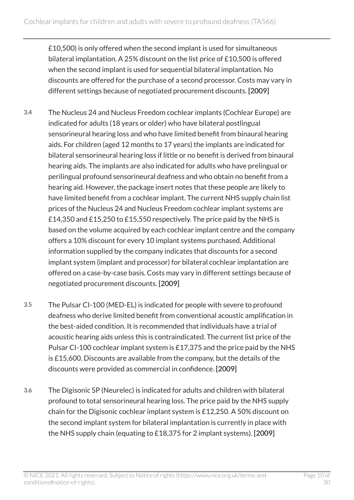£10,500) is only offered when the second implant is used for simultaneous bilateral implantation. A 25% discount on the list price of £10,500 is offered when the second implant is used for sequential bilateral implantation. No discounts are offered for the purchase of a second processor. Costs may vary in different settings because of negotiated procurement discounts. [2009]

- 3.4 The Nucleus 24 and Nucleus Freedom cochlear implants (Cochlear Europe) are indicated for adults (18 years or older) who have bilateral postlingual sensorineural hearing loss and who have limited benefit from binaural hearing aids. For children (aged 12 months to 17 years) the implants are indicated for bilateral sensorineural hearing loss if little or no benefit is derived from binaural hearing aids. The implants are also indicated for adults who have prelingual or perilingual profound sensorineural deafness and who obtain no benefit from a hearing aid. However, the package insert notes that these people are likely to have limited benefit from a cochlear implant. The current NHS supply chain list prices of the Nucleus 24 and Nucleus Freedom cochlear implant systems are £14,350 and £15,250 to £15,550 respectively. The price paid by the NHS is based on the volume acquired by each cochlear implant centre and the company offers a 10% discount for every 10 implant systems purchased. Additional information supplied by the company indicates that discounts for a second implant system (implant and processor) for bilateral cochlear implantation are offered on a case-by-case basis. Costs may vary in different settings because of negotiated procurement discounts. [2009]
- 3.5 The Pulsar CI-100 (MED-EL) is indicated for people with severe to profound deafness who derive limited benefit from conventional acoustic amplification in the best-aided condition. It is recommended that individuals have a trial of acoustic hearing aids unless this is contraindicated. The current list price of the Pulsar CI-100 cochlear implant system is £17,375 and the price paid by the NHS is £15,600. Discounts are available from the company, but the details of the discounts were provided as commercial in confidence. [2009]
- 3.6 The Digisonic SP (Neurelec) is indicated for adults and children with bilateral profound to total sensorineural hearing loss. The price paid by the NHS supply chain for the Digisonic cochlear implant system is £12,250. A 50% discount on the second implant system for bilateral implantation is currently in place with the NHS supply chain (equating to £18,375 for 2 implant systems). [2009]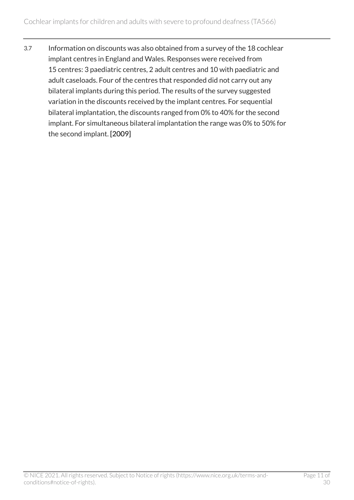3.7 Information on discounts was also obtained from a survey of the 18 cochlear implant centres in England and Wales. Responses were received from 15 centres: 3 paediatric centres, 2 adult centres and 10 with paediatric and adult caseloads. Four of the centres that responded did not carry out any bilateral implants during this period. The results of the survey suggested variation in the discounts received by the implant centres. For sequential bilateral implantation, the discounts ranged from 0% to 40% for the second implant. For simultaneous bilateral implantation the range was 0% to 50% for the second implant. [2009]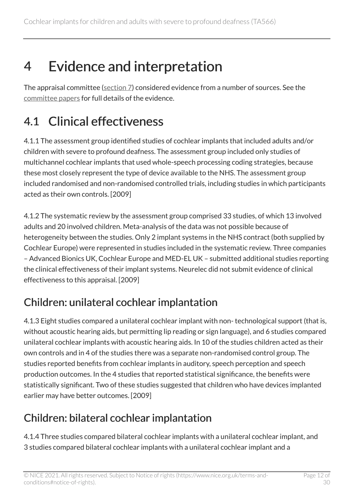# <span id="page-11-0"></span>4 Evidence and interpretation

The appraisal committee ([section](#page-28-1) 7) considered evidence from a number of sources. See the [committee papers](https://www.nice.org.uk/guidance/ta566/evidence) for full details of the evidence.

# <span id="page-11-1"></span>4.1 Clinical effectiveness

4.1.1 The assessment group identified studies of cochlear implants that included adults and/or children with severe to profound deafness. The assessment group included only studies of multichannel cochlear implants that used whole-speech processing coding strategies, because these most closely represent the type of device available to the NHS. The assessment group included randomised and non-randomised controlled trials, including studies in which participants acted as their own controls. [2009]

4.1.2 The systematic review by the assessment group comprised 33 studies, of which 13 involved adults and 20 involved children. Meta-analysis of the data was not possible because of heterogeneity between the studies. Only 2 implant systems in the NHS contract (both supplied by Cochlear Europe) were represented in studies included in the systematic review. Three companies – Advanced Bionics UK, Cochlear Europe and MED-EL UK – submitted additional studies reporting the clinical effectiveness of their implant systems. Neurelec did not submit evidence of clinical effectiveness to this appraisal. [2009]

### Children: unilateral cochlear implantation

4.1.3 Eight studies compared a unilateral cochlear implant with non- technological support (that is, without acoustic hearing aids, but permitting lip reading or sign language), and 6 studies compared unilateral cochlear implants with acoustic hearing aids. In 10 of the studies children acted as their own controls and in 4 of the studies there was a separate non-randomised control group. The studies reported benefits from cochlear implants in auditory, speech perception and speech production outcomes. In the 4 studies that reported statistical significance, the benefits were statistically significant. Two of these studies suggested that children who have devices implanted earlier may have better outcomes. [2009]

### Children: bilateral cochlear implantation

4.1.4 Three studies compared bilateral cochlear implants with a unilateral cochlear implant, and 3 studies compared bilateral cochlear implants with a unilateral cochlear implant and a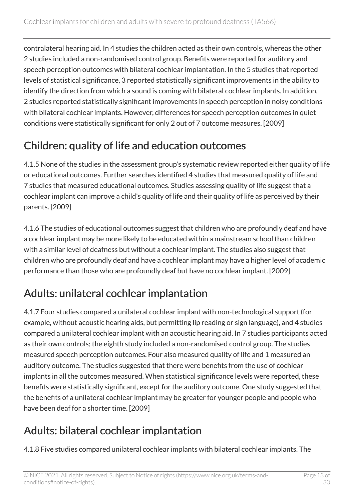contralateral hearing aid. In 4 studies the children acted as their own controls, whereas the other 2 studies included a non-randomised control group. Benefits were reported for auditory and speech perception outcomes with bilateral cochlear implantation. In the 5 studies that reported levels of statistical significance, 3 reported statistically significant improvements in the ability to identify the direction from which a sound is coming with bilateral cochlear implants. In addition, 2 studies reported statistically significant improvements in speech perception in noisy conditions with bilateral cochlear implants. However, differences for speech perception outcomes in quiet conditions were statistically significant for only 2 out of 7 outcome measures. [2009]

### Children: quality of life and education outcomes

4.1.5 None of the studies in the assessment group's systematic review reported either quality of life or educational outcomes. Further searches identified 4 studies that measured quality of life and 7 studies that measured educational outcomes. Studies assessing quality of life suggest that a cochlear implant can improve a child's quality of life and their quality of life as perceived by their parents. [2009]

4.1.6 The studies of educational outcomes suggest that children who are profoundly deaf and have a cochlear implant may be more likely to be educated within a mainstream school than children with a similar level of deafness but without a cochlear implant. The studies also suggest that children who are profoundly deaf and have a cochlear implant may have a higher level of academic performance than those who are profoundly deaf but have no cochlear implant. [2009]

#### Adults: unilateral cochlear implantation

4.1.7 Four studies compared a unilateral cochlear implant with non-technological support (for example, without acoustic hearing aids, but permitting lip reading or sign language), and 4 studies compared a unilateral cochlear implant with an acoustic hearing aid. In 7 studies participants acted as their own controls; the eighth study included a non-randomised control group. The studies measured speech perception outcomes. Four also measured quality of life and 1 measured an auditory outcome. The studies suggested that there were benefits from the use of cochlear implants in all the outcomes measured. When statistical significance levels were reported, these benefits were statistically significant, except for the auditory outcome. One study suggested that the benefits of a unilateral cochlear implant may be greater for younger people and people who have been deaf for a shorter time. [2009]

### Adults: bilateral cochlear implantation

4.1.8 Five studies compared unilateral cochlear implants with bilateral cochlear implants. The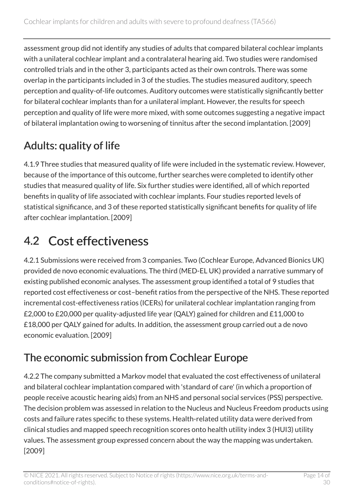assessment group did not identify any studies of adults that compared bilateral cochlear implants with a unilateral cochlear implant and a contralateral hearing aid. Two studies were randomised controlled trials and in the other 3, participants acted as their own controls. There was some overlap in the participants included in 3 of the studies. The studies measured auditory, speech perception and quality-of-life outcomes. Auditory outcomes were statistically significantly better for bilateral cochlear implants than for a unilateral implant. However, the results for speech perception and quality of life were more mixed, with some outcomes suggesting a negative impact of bilateral implantation owing to worsening of tinnitus after the second implantation. [2009]

### Adults: quality of life

4.1.9 Three studies that measured quality of life were included in the systematic review. However, because of the importance of this outcome, further searches were completed to identify other studies that measured quality of life. Six further studies were identified, all of which reported benefits in quality of life associated with cochlear implants. Four studies reported levels of statistical significance, and 3 of these reported statistically significant benefits for quality of life after cochlear implantation. [2009]

### <span id="page-13-0"></span>4.2 Cost effectiveness

4.2.1 Submissions were received from 3 companies. Two (Cochlear Europe, Advanced Bionics UK) provided de novo economic evaluations. The third (MED-EL UK) provided a narrative summary of existing published economic analyses. The assessment group identified a total of 9 studies that reported cost effectiveness or cost–benefit ratios from the perspective of the NHS. These reported incremental cost-effectiveness ratios (ICERs) for unilateral cochlear implantation ranging from £2,000 to £20,000 per quality-adjusted life year (QALY) gained for children and £11,000 to £18,000 per QALY gained for adults. In addition, the assessment group carried out a de novo economic evaluation. [2009]

#### The economic submission from Cochlear Europe

4.2.2 The company submitted a Markov model that evaluated the cost effectiveness of unilateral and bilateral cochlear implantation compared with 'standard of care' (in which a proportion of people receive acoustic hearing aids) from an NHS and personal social services (PSS) perspective. The decision problem was assessed in relation to the Nucleus and Nucleus Freedom products using costs and failure rates specific to these systems. Health-related utility data were derived from clinical studies and mapped speech recognition scores onto health utility index 3 (HUI3) utility values. The assessment group expressed concern about the way the mapping was undertaken. [2009]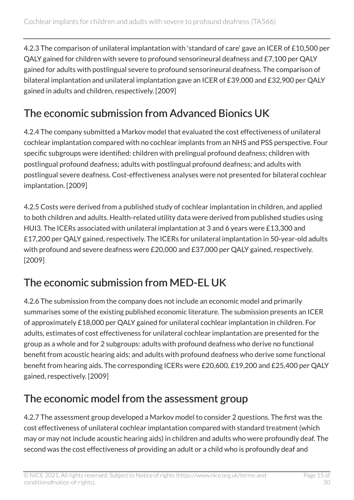4.2.3 The comparison of unilateral implantation with 'standard of care' gave an ICER of £10,500 per QALY gained for children with severe to profound sensorineural deafness and £7,100 per QALY gained for adults with postlingual severe to profound sensorineural deafness. The comparison of bilateral implantation and unilateral implantation gave an ICER of £39,000 and £32,900 per QALY gained in adults and children, respectively. [2009]

### The economic submission from Advanced Bionics UK

4.2.4 The company submitted a Markov model that evaluated the cost effectiveness of unilateral cochlear implantation compared with no cochlear implants from an NHS and PSS perspective. Four specific subgroups were identified: children with prelingual profound deafness; children with postlingual profound deafness; adults with postlingual profound deafness; and adults with postlingual severe deafness. Cost-effectiveness analyses were not presented for bilateral cochlear implantation. [2009]

4.2.5 Costs were derived from a published study of cochlear implantation in children, and applied to both children and adults. Health-related utility data were derived from published studies using HUI3. The ICERs associated with unilateral implantation at 3 and 6 years were £13,300 and £17,200 per QALY gained, respectively. The ICERs for unilateral implantation in 50-year-old adults with profound and severe deafness were £20,000 and £37,000 per QALY gained, respectively. [2009]

#### The economic submission from MED-EL UK

4.2.6 The submission from the company does not include an economic model and primarily summarises some of the existing published economic literature. The submission presents an ICER of approximately £18,000 per QALY gained for unilateral cochlear implantation in children. For adults, estimates of cost effectiveness for unilateral cochlear implantation are presented for the group as a whole and for 2 subgroups: adults with profound deafness who derive no functional benefit from acoustic hearing aids; and adults with profound deafness who derive some functional benefit from hearing aids. The corresponding ICERs were £20,600, £19,200 and £25,400 per QALY gained, respectively. [2009]

#### The economic model from the assessment group

4.2.7 The assessment group developed a Markov model to consider 2 questions. The first was the cost effectiveness of unilateral cochlear implantation compared with standard treatment (which may or may not include acoustic hearing aids) in children and adults who were profoundly deaf. The second was the cost effectiveness of providing an adult or a child who is profoundly deaf and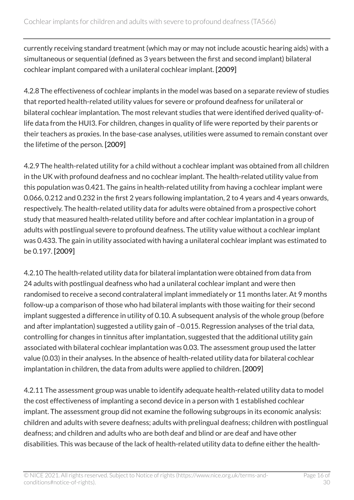currently receiving standard treatment (which may or may not include acoustic hearing aids) with a simultaneous or sequential (defined as 3 years between the first and second implant) bilateral cochlear implant compared with a unilateral cochlear implant. [2009]

4.2.8 The effectiveness of cochlear implants in the model was based on a separate review of studies that reported health-related utility values for severe or profound deafness for unilateral or bilateral cochlear implantation. The most relevant studies that were identified derived quality-oflife data from the HUI3. For children, changes in quality of life were reported by their parents or their teachers as proxies. In the base-case analyses, utilities were assumed to remain constant over the lifetime of the person. [2009]

4.2.9 The health-related utility for a child without a cochlear implant was obtained from all children in the UK with profound deafness and no cochlear implant. The health-related utility value from this population was 0.421. The gains in health-related utility from having a cochlear implant were 0.066, 0.212 and 0.232 in the first 2 years following implantation, 2 to 4 years and 4 years onwards, respectively. The health-related utility data for adults were obtained from a prospective cohort study that measured health-related utility before and after cochlear implantation in a group of adults with postlingual severe to profound deafness. The utility value without a cochlear implant was 0.433. The gain in utility associated with having a unilateral cochlear implant was estimated to be 0.197. [2009]

4.2.10 The health-related utility data for bilateral implantation were obtained from data from 24 adults with postlingual deafness who had a unilateral cochlear implant and were then randomised to receive a second contralateral implant immediately or 11 months later. At 9 months follow-up a comparison of those who had bilateral implants with those waiting for their second implant suggested a difference in utility of 0.10. A subsequent analysis of the whole group (before and after implantation) suggested a utility gain of –0.015. Regression analyses of the trial data, controlling for changes in tinnitus after implantation, suggested that the additional utility gain associated with bilateral cochlear implantation was 0.03. The assessment group used the latter value (0.03) in their analyses. In the absence of health-related utility data for bilateral cochlear implantation in children, the data from adults were applied to children. [2009]

4.2.11 The assessment group was unable to identify adequate health-related utility data to model the cost effectiveness of implanting a second device in a person with 1 established cochlear implant. The assessment group did not examine the following subgroups in its economic analysis: children and adults with severe deafness; adults with prelingual deafness; children with postlingual deafness; and children and adults who are both deaf and blind or are deaf and have other disabilities. This was because of the lack of health-related utility data to define either the health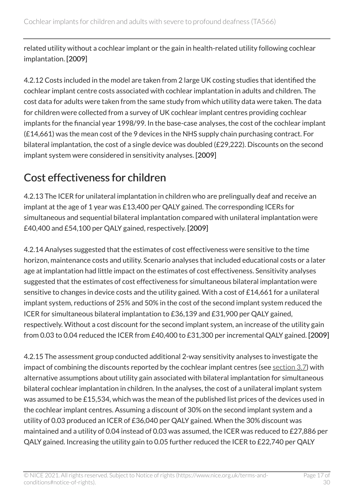related utility without a cochlear implant or the gain in health-related utility following cochlear implantation. [2009]

4.2.12 Costs included in the model are taken from 2 large UK costing studies that identified the cochlear implant centre costs associated with cochlear implantation in adults and children. The cost data for adults were taken from the same study from which utility data were taken. The data for children were collected from a survey of UK cochlear implant centres providing cochlear implants for the financial year 1998/99. In the base-case analyses, the cost of the cochlear implant (£14,661) was the mean cost of the 9 devices in the NHS supply chain purchasing contract. For bilateral implantation, the cost of a single device was doubled (£29,222). Discounts on the second implant system were considered in sensitivity analyses. [2009]

### Cost effectiveness for children

4.2.13 The ICER for unilateral implantation in children who are prelingually deaf and receive an implant at the age of 1 year was £13,400 per QALY gained. The corresponding ICERs for simultaneous and sequential bilateral implantation compared with unilateral implantation were £40,400 and £54,100 per QALY gained, respectively. [2009]

4.2.14 Analyses suggested that the estimates of cost effectiveness were sensitive to the time horizon, maintenance costs and utility. Scenario analyses that included educational costs or a later age at implantation had little impact on the estimates of cost effectiveness. Sensitivity analyses suggested that the estimates of cost effectiveness for simultaneous bilateral implantation were sensitive to changes in device costs and the utility gained. With a cost of £14,661 for a unilateral implant system, reductions of 25% and 50% in the cost of the second implant system reduced the ICER for simultaneous bilateral implantation to £36,139 and £31,900 per QALY gained, respectively. Without a cost discount for the second implant system, an increase of the utility gain from 0.03 to 0.04 reduced the ICER from £40,400 to £31,300 per incremental QALY gained. [2009]

4.2.15 The assessment group conducted additional 2-way sensitivity analyses to investigate the impact of combining the discounts reported by the cochlear implant centres (see [section](#page-8-0) 3.7) with alternative assumptions about utility gain associated with bilateral implantation for simultaneous bilateral cochlear implantation in children. In the analyses, the cost of a unilateral implant system was assumed to be £15,534, which was the mean of the published list prices of the devices used in the cochlear implant centres. Assuming a discount of 30% on the second implant system and a utility of 0.03 produced an ICER of £36,040 per QALY gained. When the 30% discount was maintained and a utility of 0.04 instead of 0.03 was assumed, the ICER was reduced to £27,886 per QALY gained. Increasing the utility gain to 0.05 further reduced the ICER to £22,740 per QALY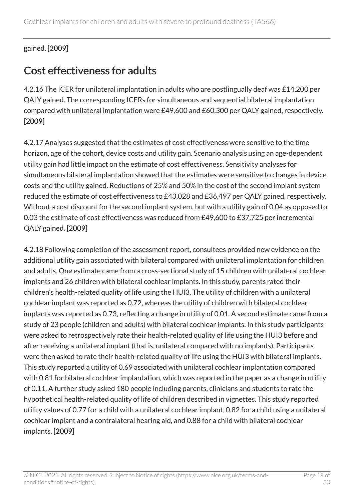#### gained. [2009]

#### <span id="page-17-0"></span>Cost effectiveness for adults

4.2.16 The ICER for unilateral implantation in adults who are postlingually deaf was £14,200 per QALY gained. The corresponding ICERs for simultaneous and sequential bilateral implantation compared with unilateral implantation were £49,600 and £60,300 per QALY gained, respectively. [2009]

4.2.17 Analyses suggested that the estimates of cost effectiveness were sensitive to the time horizon, age of the cohort, device costs and utility gain. Scenario analysis using an age-dependent utility gain had little impact on the estimate of cost effectiveness. Sensitivity analyses for simultaneous bilateral implantation showed that the estimates were sensitive to changes in device costs and the utility gained. Reductions of 25% and 50% in the cost of the second implant system reduced the estimate of cost effectiveness to £43,028 and £36,497 per QALY gained, respectively. Without a cost discount for the second implant system, but with a utility gain of 0.04 as opposed to 0.03 the estimate of cost effectiveness was reduced from £49,600 to £37,725 per incremental QALY gained. [2009]

4.2.18 Following completion of the assessment report, consultees provided new evidence on the additional utility gain associated with bilateral compared with unilateral implantation for children and adults. One estimate came from a cross-sectional study of 15 children with unilateral cochlear implants and 26 children with bilateral cochlear implants. In this study, parents rated their children's health-related quality of life using the HUI3. The utility of children with a unilateral cochlear implant was reported as 0.72, whereas the utility of children with bilateral cochlear implants was reported as 0.73, reflecting a change in utility of 0.01. A second estimate came from a study of 23 people (children and adults) with bilateral cochlear implants. In this study participants were asked to retrospectively rate their health-related quality of life using the HUI3 before and after receiving a unilateral implant (that is, unilateral compared with no implants). Participants were then asked to rate their health-related quality of life using the HUI3 with bilateral implants. This study reported a utility of 0.69 associated with unilateral cochlear implantation compared with 0.81 for bilateral cochlear implantation, which was reported in the paper as a change in utility of 0.11. A further study asked 180 people including parents, clinicians and students to rate the hypothetical health-related quality of life of children described in vignettes. This study reported utility values of 0.77 for a child with a unilateral cochlear implant, 0.82 for a child using a unilateral cochlear implant and a contralateral hearing aid, and 0.88 for a child with bilateral cochlear implants. [2009]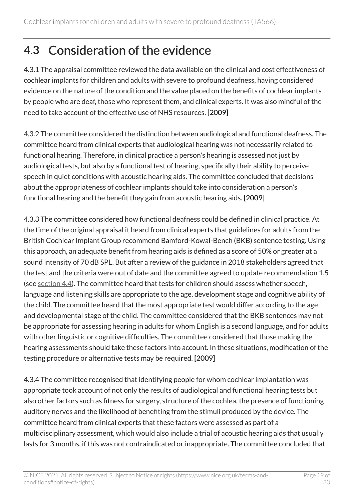### <span id="page-18-0"></span>4.3 Consideration of the evidence

4.3.1 The appraisal committee reviewed the data available on the clinical and cost effectiveness of cochlear implants for children and adults with severe to profound deafness, having considered evidence on the nature of the condition and the value placed on the benefits of cochlear implants by people who are deaf, those who represent them, and clinical experts. It was also mindful of the need to take account of the effective use of NHS resources. [2009]

4.3.2 The committee considered the distinction between audiological and functional deafness. The committee heard from clinical experts that audiological hearing was not necessarily related to functional hearing. Therefore, in clinical practice a person's hearing is assessed not just by audiological tests, but also by a functional test of hearing, specifically their ability to perceive speech in quiet conditions with acoustic hearing aids. The committee concluded that decisions about the appropriateness of cochlear implants should take into consideration a person's functional hearing and the benefit they gain from acoustic hearing aids. [2009]

4.3.3 The committee considered how functional deafness could be defined in clinical practice. At the time of the original appraisal it heard from clinical experts that guidelines for adults from the British Cochlear Implant Group recommend Bamford-Kowal-Bench (BKB) sentence testing. Using this approach, an adequate benefit from hearing aids is defined as a score of 50% or greater at a sound intensity of 70 dB SPL. But after a review of the guidance in 2018 stakeholders agreed that the test and the criteria were out of date and the committee agreed to update recommendation 1.5 (see [section](#page-24-0) 4.4). The committee heard that tests for children should assess whether speech, language and listening skills are appropriate to the age, development stage and cognitive ability of the child. The committee heard that the most appropriate test would differ according to the age and developmental stage of the child. The committee considered that the BKB sentences may not be appropriate for assessing hearing in adults for whom English is a second language, and for adults with other linguistic or cognitive difficulties. The committee considered that those making the hearing assessments should take these factors into account. In these situations, modification of the testing procedure or alternative tests may be required. [2009]

4.3.4 The committee recognised that identifying people for whom cochlear implantation was appropriate took account of not only the results of audiological and functional hearing tests but also other factors such as fitness for surgery, structure of the cochlea, the presence of functioning auditory nerves and the likelihood of benefiting from the stimuli produced by the device. The committee heard from clinical experts that these factors were assessed as part of a multidisciplinary assessment, which would also include a trial of acoustic hearing aids that usually lasts for 3 months, if this was not contraindicated or inappropriate. The committee concluded that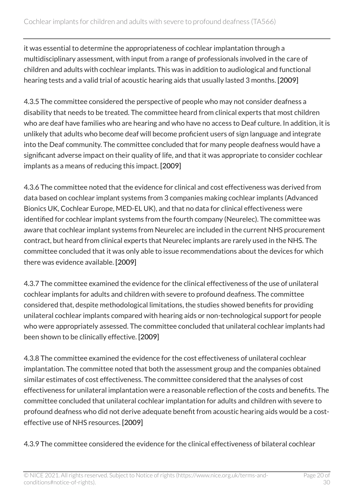it was essential to determine the appropriateness of cochlear implantation through a multidisciplinary assessment, with input from a range of professionals involved in the care of children and adults with cochlear implants. This was in addition to audiological and functional hearing tests and a valid trial of acoustic hearing aids that usually lasted 3 months. [2009]

4.3.5 The committee considered the perspective of people who may not consider deafness a disability that needs to be treated. The committee heard from clinical experts that most children who are deaf have families who are hearing and who have no access to Deaf culture. In addition, it is unlikely that adults who become deaf will become proficient users of sign language and integrate into the Deaf community. The committee concluded that for many people deafness would have a significant adverse impact on their quality of life, and that it was appropriate to consider cochlear implants as a means of reducing this impact. [2009]

4.3.6 The committee noted that the evidence for clinical and cost effectiveness was derived from data based on cochlear implant systems from 3 companies making cochlear implants (Advanced Bionics UK, Cochlear Europe, MED-EL UK), and that no data for clinical effectiveness were identified for cochlear implant systems from the fourth company (Neurelec). The committee was aware that cochlear implant systems from Neurelec are included in the current NHS procurement contract, but heard from clinical experts that Neurelec implants are rarely used in the NHS. The committee concluded that it was only able to issue recommendations about the devices for which there was evidence available. [2009]

4.3.7 The committee examined the evidence for the clinical effectiveness of the use of unilateral cochlear implants for adults and children with severe to profound deafness. The committee considered that, despite methodological limitations, the studies showed benefits for providing unilateral cochlear implants compared with hearing aids or non-technological support for people who were appropriately assessed. The committee concluded that unilateral cochlear implants had been shown to be clinically effective. [2009]

4.3.8 The committee examined the evidence for the cost effectiveness of unilateral cochlear implantation. The committee noted that both the assessment group and the companies obtained similar estimates of cost effectiveness. The committee considered that the analyses of cost effectiveness for unilateral implantation were a reasonable reflection of the costs and benefits. The committee concluded that unilateral cochlear implantation for adults and children with severe to profound deafness who did not derive adequate benefit from acoustic hearing aids would be a costeffective use of NHS resources. [2009]

4.3.9 The committee considered the evidence for the clinical effectiveness of bilateral cochlear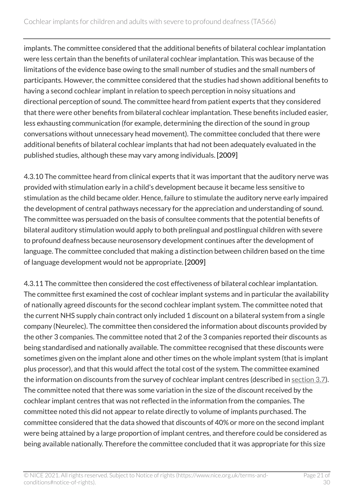implants. The committee considered that the additional benefits of bilateral cochlear implantation were less certain than the benefits of unilateral cochlear implantation. This was because of the limitations of the evidence base owing to the small number of studies and the small numbers of participants. However, the committee considered that the studies had shown additional benefits to having a second cochlear implant in relation to speech perception in noisy situations and directional perception of sound. The committee heard from patient experts that they considered that there were other benefits from bilateral cochlear implantation. These benefits included easier, less exhausting communication (for example, determining the direction of the sound in group conversations without unnecessary head movement). The committee concluded that there were additional benefits of bilateral cochlear implants that had not been adequately evaluated in the published studies, although these may vary among individuals. [2009]

4.3.10 The committee heard from clinical experts that it was important that the auditory nerve was provided with stimulation early in a child's development because it became less sensitive to stimulation as the child became older. Hence, failure to stimulate the auditory nerve early impaired the development of central pathways necessary for the appreciation and understanding of sound. The committee was persuaded on the basis of consultee comments that the potential benefits of bilateral auditory stimulation would apply to both prelingual and postlingual children with severe to profound deafness because neurosensory development continues after the development of language. The committee concluded that making a distinction between children based on the time of language development would not be appropriate. [2009]

4.3.11 The committee then considered the cost effectiveness of bilateral cochlear implantation. The committee first examined the cost of cochlear implant systems and in particular the availability of nationally agreed discounts for the second cochlear implant system. The committee noted that the current NHS supply chain contract only included 1 discount on a bilateral system from a single company (Neurelec). The committee then considered the information about discounts provided by the other 3 companies. The committee noted that 2 of the 3 companies reported their discounts as being standardised and nationally available. The committee recognised that these discounts were sometimes given on the implant alone and other times on the whole implant system (that is implant plus processor), and that this would affect the total cost of the system. The committee examined the information on discounts from the survey of cochlear implant centres (described in [section](#page-8-0) 3.7). The committee noted that there was some variation in the size of the discount received by the cochlear implant centres that was not reflected in the information from the companies. The committee noted this did not appear to relate directly to volume of implants purchased. The committee considered that the data showed that discounts of 40% or more on the second implant were being attained by a large proportion of implant centres, and therefore could be considered as being available nationally. Therefore the committee concluded that it was appropriate for this size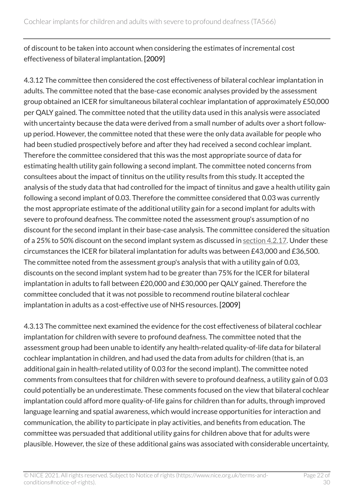of discount to be taken into account when considering the estimates of incremental cost effectiveness of bilateral implantation. [2009]

4.3.12 The committee then considered the cost effectiveness of bilateral cochlear implantation in adults. The committee noted that the base-case economic analyses provided by the assessment group obtained an ICER for simultaneous bilateral cochlear implantation of approximately £50,000 per QALY gained. The committee noted that the utility data used in this analysis were associated with uncertainty because the data were derived from a small number of adults over a short followup period. However, the committee noted that these were the only data available for people who had been studied prospectively before and after they had received a second cochlear implant. Therefore the committee considered that this was the most appropriate source of data for estimating health utility gain following a second implant. The committee noted concerns from consultees about the impact of tinnitus on the utility results from this study. It accepted the analysis of the study data that had controlled for the impact of tinnitus and gave a health utility gain following a second implant of 0.03. Therefore the committee considered that 0.03 was currently the most appropriate estimate of the additional utility gain for a second implant for adults with severe to profound deafness. The committee noted the assessment group's assumption of no discount for the second implant in their base-case analysis. The committee considered the situation of a 25% to 50% discount on the second implant system as discussed in [section](#page-17-0) 4.2.17. Under these circumstances the ICER for bilateral implantation for adults was between £43,000 and £36,500. The committee noted from the assessment group's analysis that with a utility gain of 0.03, discounts on the second implant system had to be greater than 75% for the ICER for bilateral implantation in adults to fall between £20,000 and £30,000 per QALY gained. Therefore the committee concluded that it was not possible to recommend routine bilateral cochlear implantation in adults as a cost-effective use of NHS resources. [2009]

4.3.13 The committee next examined the evidence for the cost effectiveness of bilateral cochlear implantation for children with severe to profound deafness. The committee noted that the assessment group had been unable to identify any health-related quality-of-life data for bilateral cochlear implantation in children, and had used the data from adults for children (that is, an additional gain in health-related utility of 0.03 for the second implant). The committee noted comments from consultees that for children with severe to profound deafness, a utility gain of 0.03 could potentially be an underestimate. These comments focused on the view that bilateral cochlear implantation could afford more quality-of-life gains for children than for adults, through improved language learning and spatial awareness, which would increase opportunities for interaction and communication, the ability to participate in play activities, and benefits from education. The committee was persuaded that additional utility gains for children above that for adults were plausible. However, the size of these additional gains was associated with considerable uncertainty,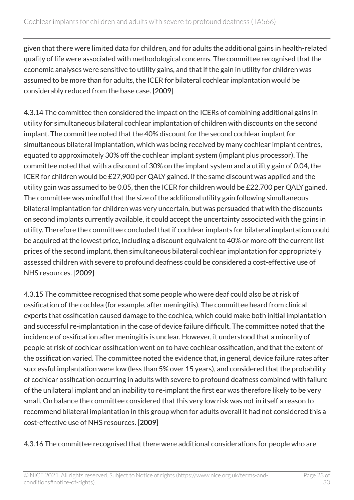given that there were limited data for children, and for adults the additional gains in health-related quality of life were associated with methodological concerns. The committee recognised that the economic analyses were sensitive to utility gains, and that if the gain in utility for children was assumed to be more than for adults, the ICER for bilateral cochlear implantation would be considerably reduced from the base case. [2009]

4.3.14 The committee then considered the impact on the ICERs of combining additional gains in utility for simultaneous bilateral cochlear implantation of children with discounts on the second implant. The committee noted that the 40% discount for the second cochlear implant for simultaneous bilateral implantation, which was being received by many cochlear implant centres, equated to approximately 30% off the cochlear implant system (implant plus processor). The committee noted that with a discount of 30% on the implant system and a utility gain of 0.04, the ICER for children would be £27,900 per QALY gained. If the same discount was applied and the utility gain was assumed to be 0.05, then the ICER for children would be £22,700 per QALY gained. The committee was mindful that the size of the additional utility gain following simultaneous bilateral implantation for children was very uncertain, but was persuaded that with the discounts on second implants currently available, it could accept the uncertainty associated with the gains in utility. Therefore the committee concluded that if cochlear implants for bilateral implantation could be acquired at the lowest price, including a discount equivalent to 40% or more off the current list prices of the second implant, then simultaneous bilateral cochlear implantation for appropriately assessed children with severe to profound deafness could be considered a cost-effective use of NHS resources. [2009]

4.3.15 The committee recognised that some people who were deaf could also be at risk of ossification of the cochlea (for example, after meningitis). The committee heard from clinical experts that ossification caused damage to the cochlea, which could make both initial implantation and successful re-implantation in the case of device failure difficult. The committee noted that the incidence of ossification after meningitis is unclear. However, it understood that a minority of people at risk of cochlear ossification went on to have cochlear ossification, and that the extent of the ossification varied. The committee noted the evidence that, in general, device failure rates after successful implantation were low (less than 5% over 15 years), and considered that the probability of cochlear ossification occurring in adults with severe to profound deafness combined with failure of the unilateral implant and an inability to re-implant the first ear was therefore likely to be very small. On balance the committee considered that this very low risk was not in itself a reason to recommend bilateral implantation in this group when for adults overall it had not considered this a cost-effective use of NHS resources. [2009]

4.3.16 The committee recognised that there were additional considerations for people who are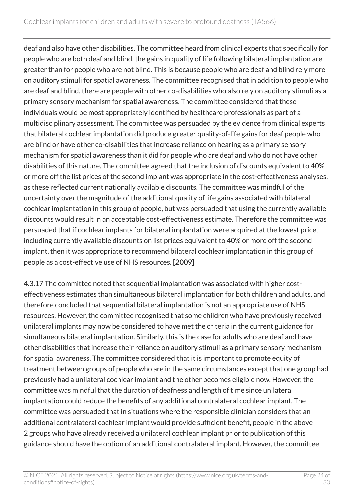deaf and also have other disabilities. The committee heard from clinical experts that specifically for people who are both deaf and blind, the gains in quality of life following bilateral implantation are greater than for people who are not blind. This is because people who are deaf and blind rely more on auditory stimuli for spatial awareness. The committee recognised that in addition to people who are deaf and blind, there are people with other co-disabilities who also rely on auditory stimuli as a primary sensory mechanism for spatial awareness. The committee considered that these individuals would be most appropriately identified by healthcare professionals as part of a multidisciplinary assessment. The committee was persuaded by the evidence from clinical experts that bilateral cochlear implantation did produce greater quality-of-life gains for deaf people who are blind or have other co-disabilities that increase reliance on hearing as a primary sensory mechanism for spatial awareness than it did for people who are deaf and who do not have other disabilities of this nature. The committee agreed that the inclusion of discounts equivalent to 40% or more off the list prices of the second implant was appropriate in the cost-effectiveness analyses, as these reflected current nationally available discounts. The committee was mindful of the uncertainty over the magnitude of the additional quality of life gains associated with bilateral cochlear implantation in this group of people, but was persuaded that using the currently available discounts would result in an acceptable cost-effectiveness estimate. Therefore the committee was persuaded that if cochlear implants for bilateral implantation were acquired at the lowest price, including currently available discounts on list prices equivalent to 40% or more off the second implant, then it was appropriate to recommend bilateral cochlear implantation in this group of people as a cost-effective use of NHS resources. [2009]

4.3.17 The committee noted that sequential implantation was associated with higher costeffectiveness estimates than simultaneous bilateral implantation for both children and adults, and therefore concluded that sequential bilateral implantation is not an appropriate use of NHS resources. However, the committee recognised that some children who have previously received unilateral implants may now be considered to have met the criteria in the current guidance for simultaneous bilateral implantation. Similarly, this is the case for adults who are deaf and have other disabilities that increase their reliance on auditory stimuli as a primary sensory mechanism for spatial awareness. The committee considered that it is important to promote equity of treatment between groups of people who are in the same circumstances except that one group had previously had a unilateral cochlear implant and the other becomes eligible now. However, the committee was mindful that the duration of deafness and length of time since unilateral implantation could reduce the benefits of any additional contralateral cochlear implant. The committee was persuaded that in situations where the responsible clinician considers that an additional contralateral cochlear implant would provide sufficient benefit, people in the above 2 groups who have already received a unilateral cochlear implant prior to publication of this guidance should have the option of an additional contralateral implant. However, the committee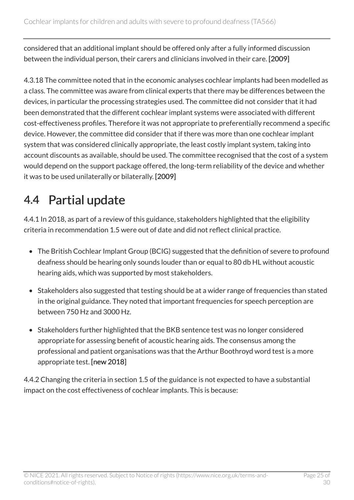considered that an additional implant should be offered only after a fully informed discussion between the individual person, their carers and clinicians involved in their care. [2009]

4.3.18 The committee noted that in the economic analyses cochlear implants had been modelled as a class. The committee was aware from clinical experts that there may be differences between the devices, in particular the processing strategies used. The committee did not consider that it had been demonstrated that the different cochlear implant systems were associated with different cost-effectiveness profiles. Therefore it was not appropriate to preferentially recommend a specific device. However, the committee did consider that if there was more than one cochlear implant system that was considered clinically appropriate, the least costly implant system, taking into account discounts as available, should be used. The committee recognised that the cost of a system would depend on the support package offered, the long-term reliability of the device and whether it was to be used unilaterally or bilaterally. [2009]

### <span id="page-24-0"></span>4.4 Partial update

4.4.1 In 2018, as part of a review of this guidance, stakeholders highlighted that the eligibility criteria in recommendation 1.5 were out of date and did not reflect clinical practice.

- The British Cochlear Implant Group (BCIG) suggested that the definition of severe to profound deafness should be hearing only sounds louder than or equal to 80 db HL without acoustic hearing aids, which was supported by most stakeholders.
- Stakeholders also suggested that testing should be at a wider range of frequencies than stated in the original guidance. They noted that important frequencies for speech perception are between 750 Hz and 3000 Hz.
- Stakeholders further highlighted that the BKB sentence test was no longer considered appropriate for assessing benefit of acoustic hearing aids. The consensus among the professional and patient organisations was that the Arthur Boothroyd word test is a more appropriate test. [new 2018]

4.4.2 Changing the criteria in section 1.5 of the guidance is not expected to have a substantial impact on the cost effectiveness of cochlear implants. This is because: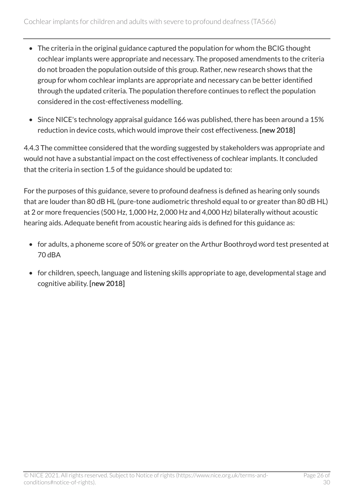- The criteria in the original guidance captured the population for whom the BCIG thought cochlear implants were appropriate and necessary. The proposed amendments to the criteria do not broaden the population outside of this group. Rather, new research shows that the group for whom cochlear implants are appropriate and necessary can be better identified through the updated criteria. The population therefore continues to reflect the population considered in the cost-effectiveness modelling.
- Since NICE's technology appraisal guidance 166 was published, there has been around a 15% reduction in device costs, which would improve their cost effectiveness. [new 2018]

4.4.3 The committee considered that the wording suggested by stakeholders was appropriate and would not have a substantial impact on the cost effectiveness of cochlear implants. It concluded that the criteria in section 1.5 of the guidance should be updated to:

For the purposes of this guidance, severe to profound deafness is defined as hearing only sounds that are louder than 80 dB HL (pure-tone audiometric threshold equal to or greater than 80 dB HL) at 2 or more frequencies (500 Hz, 1,000 Hz, 2,000 Hz and 4,000 Hz) bilaterally without acoustic hearing aids. Adequate benefit from acoustic hearing aids is defined for this guidance as:

- for adults, a phoneme score of 50% or greater on the Arthur Boothroyd word test presented at 70 dBA
- for children, speech, language and listening skills appropriate to age, developmental stage and cognitive ability. [new 2018]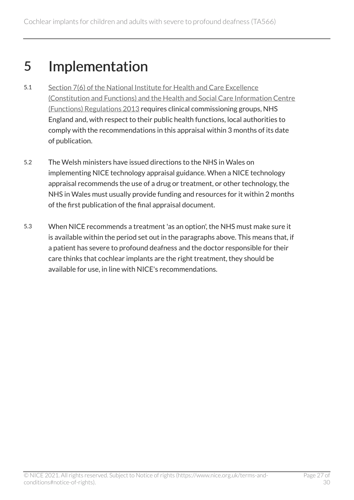# <span id="page-26-0"></span>5 Implementation

- 5.1 [Section 7\(6\) of the National Institute for Health and Care Excellence](http://www.legislation.gov.uk/uksi/2013/259/contents/made)  [\(Constitution and Functions\) and the Health and Social Care Information Centre](http://www.legislation.gov.uk/uksi/2013/259/contents/made)  [\(Functions\) Regulations 2013](http://www.legislation.gov.uk/uksi/2013/259/contents/made) requires clinical commissioning groups, NHS England and, with respect to their public health functions, local authorities to comply with the recommendations in this appraisal within 3 months of its date of publication.
- 5.2 The Welsh ministers have issued directions to the NHS in Wales on implementing NICE technology appraisal guidance. When a NICE technology appraisal recommends the use of a drug or treatment, or other technology, the NHS in Wales must usually provide funding and resources for it within 2 months of the first publication of the final appraisal document.
- 5.3 When NICE recommends a treatment 'as an option', the NHS must make sure it is available within the period set out in the paragraphs above. This means that, if a patient has severe to profound deafness and the doctor responsible for their care thinks that cochlear implants are the right treatment, they should be available for use, in line with NICE's recommendations.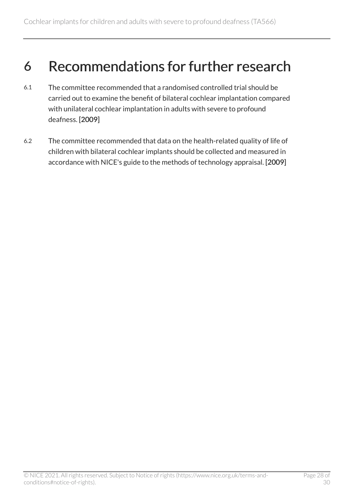### <span id="page-27-0"></span>6 Recommendations for further research

- 6.1 The committee recommended that a randomised controlled trial should be carried out to examine the benefit of bilateral cochlear implantation compared with unilateral cochlear implantation in adults with severe to profound deafness. [2009]
- 6.2 The committee recommended that data on the health-related quality of life of children with bilateral cochlear implants should be collected and measured in accordance with NICE's guide to the methods of technology appraisal. [2009]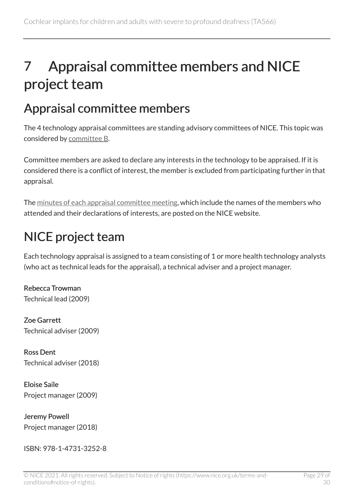# <span id="page-28-0"></span>7 Appraisal committee members and NICE project team

### <span id="page-28-1"></span>Appraisal committee members

The 4 technology appraisal committees are standing advisory committees of NICE. This topic was considered by [committee B](https://www.nice.org.uk/Get-Involved/Meetings-in-public/Technology-appraisal-Committee/Committee-B-Members).

Committee members are asked to declare any interests in the technology to be appraised. If it is considered there is a conflict of interest, the member is excluded from participating further in that appraisal.

The [minutes of each appraisal committee meeting](https://www.nice.org.uk/get-involved/meetings-in-public/technology-appraisal-committee), which include the names of the members who attended and their declarations of interests, are posted on the NICE website.

### <span id="page-28-2"></span>NICE project team

Each technology appraisal is assigned to a team consisting of 1 or more health technology analysts (who act as technical leads for the appraisal), a technical adviser and a project manager.

Rebecca Trowman Technical lead (2009)

Zoe Garrett Technical adviser (2009)

Ross Dent Technical adviser (2018)

Eloise Saile Project manager (2009)

Jeremy Powell Project manager (2018)

ISBN: 978-1-4731-3252-8